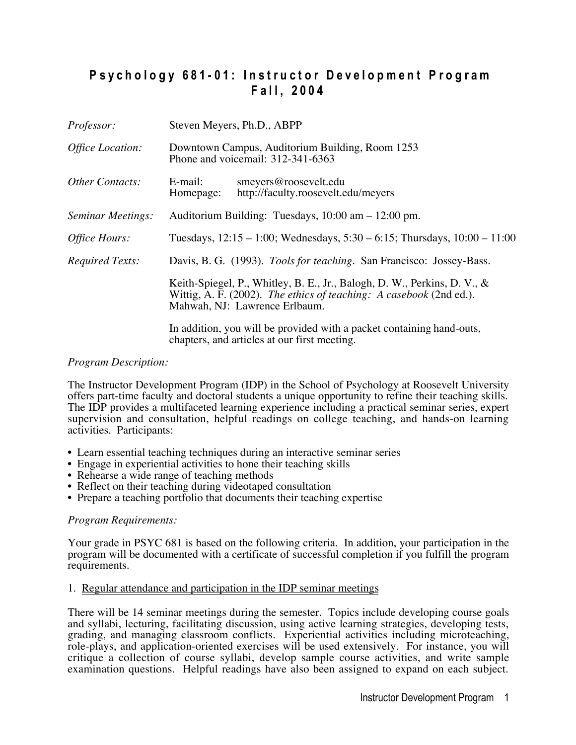# Psychology 681-01: Instructor Development Program **F a l l , 2 0 0 4**

| <i>Professor:</i>      | Steven Meyers, Ph.D., ABPP                                                                                                                                                       |  |
|------------------------|----------------------------------------------------------------------------------------------------------------------------------------------------------------------------------|--|
| Office Location:       | Downtown Campus, Auditorium Building, Room 1253<br>Phone and voicemail: 312-341-6363                                                                                             |  |
| <b>Other Contacts:</b> | E-mail:<br>smeyers@roosevelt.edu<br>http://faculty.roosevelt.edu/meyers<br>Homepage:                                                                                             |  |
| Seminar Meetings:      | Auditorium Building: Tuesdays, 10:00 am - 12:00 pm.                                                                                                                              |  |
| Office Hours:          | Tuesdays, $12:15 - 1:00$ ; Wednesdays, $5:30 - 6:15$ ; Thursdays, $10:00 - 11:00$                                                                                                |  |
| <b>Required Texts:</b> | Davis, B. G. (1993). <i>Tools for teaching</i> . San Francisco: Jossey-Bass.                                                                                                     |  |
|                        | Keith-Spiegel, P., Whitley, B. E., Jr., Balogh, D. W., Perkins, D. V., &<br>Wittig, A. F. (2002). The ethics of teaching: A casebook (2nd ed.).<br>Mahwah, NJ: Lawrence Erlbaum. |  |
|                        | In addition, you will be provided with a packet containing hand-outs,                                                                                                            |  |

## *Program Description:*

The Instructor Development Program (IDP) in the School of Psychology at Roosevelt University offers part-time faculty and doctoral students a unique opportunity to refine their teaching skills. The IDP provides a multifaceted learning experience including a practical seminar series, expert supervision and consultation, helpful readings on college teaching, and hands-on learning activities. Participants:

chapters, and articles at our first meeting.

- Learn essential teaching techniques during an interactive seminar series
- Engage in experiential activities to hone their teaching skills
- Rehearse a wide range of teaching methods
- Reflect on their teaching during videotaped consultation
- Prepare a teaching portfolio that documents their teaching expertise

### *Program Requirements:*

Your grade in PSYC 681 is based on the following criteria. In addition, your participation in the program will be documented with a certificate of successful completion if you fulfill the program requirements.

### 1. Regular attendance and participation in the IDP seminar meetings

There will be 14 seminar meetings during the semester. Topics include developing course goals and syllabi, lecturing, facilitating discussion, using active learning strategies, developing tests, grading, and managing classroom conflicts. Experiential activities including microteaching, role-plays, and application-oriented exercises will be used extensively. For instance, you will critique a collection of course syllabi, develop sample course activities, and write sample examination questions. Helpful readings have also been assigned to expand on each subject.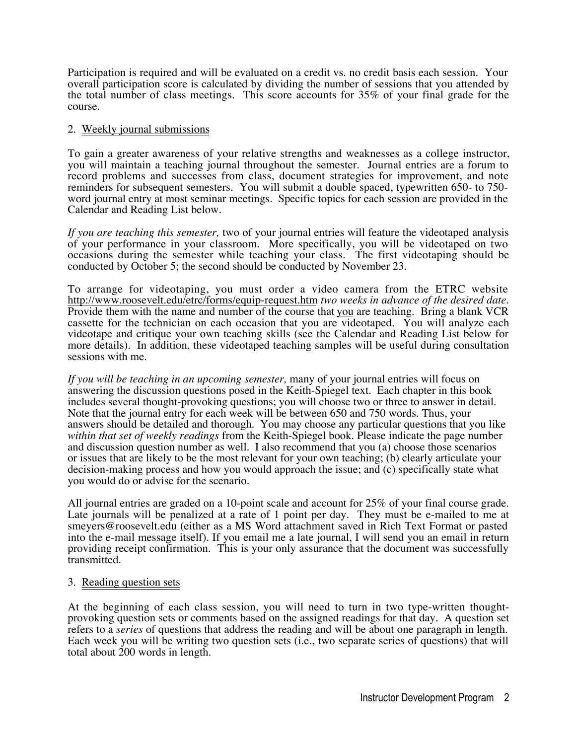Participation is required and will be evaluated on a credit vs. no credit basis each session. Your overall participation score is calculated by dividing the number of sessions that you attended by the total number of class meetings. This score accounts for 35% of your final grade for the course.

## 2. Weekly journal submissions

To gain a greater awareness of your relative strengths and weaknesses as a college instructor, you will maintain a teaching journal throughout the semester. Journal entries are a forum to record problems and successes from class, document strategies for improvement, and note reminders for subsequent semesters. You will submit a double spaced, typewritten 650- to 750 word journal entry at most seminar meetings. Specific topics for each session are provided in the Calendar and Reading List below.

*If you are teaching this semester,* two of your journal entries will feature the videotaped analysis of your performance in your classroom. More specifically, you will be videotaped on two occasions during the semester while teaching your class. The first videotaping should be conducted by October 5; the second should be conducted by November 23.

To arrange for videotaping, you must order a video camera from the ETRC website http://www.roosevelt.edu/etrc/forms/equip-request.htm *two weeks in advance of the desired date.* Provide them with the name and number of the course that you are teaching. Bring a blank VCR cassette for the technician on each occasion that you are videotaped. You will analyze each videotape and critique your own teaching skills (see the Calendar and Reading List below for more details). In addition, these videotaped teaching samples will be useful during consultation sessions with me.

*If you will be teaching in an upcoming semester,* many of your journal entries will focus on answering the discussion questions posed in the Keith-Spiegel text. Each chapter in this book includes several thought-provoking questions; you will choose two or three to answer in detail. Note that the journal entry for each week will be between 650 and 750 words. Thus, your answers should be detailed and thorough. You may choose any particular questions that you like *within that set of weekly readings* from the Keith-Spiegel book. Please indicate the page number and discussion question number as well. I also recommend that you (a) choose those scenarios or issues that are likely to be the most relevant for your own teaching; (b) clearly articulate your decision-making process and how you would approach the issue; and (c) specifically state what you would do or advise for the scenario.

All journal entries are graded on a 10-point scale and account for 25% of your final course grade. Late journals will be penalized at a rate of 1 point per day. They must be e-mailed to me at smeyers@roosevelt.edu (either as a MS Word attachment saved in Rich Text Format or pasted into the e-mail message itself). If you email me a late journal, I will send you an email in return providing receipt confirmation. This is your only assurance that the document was successfully transmitted.

## 3. Reading question sets

At the beginning of each class session, you will need to turn in two type-written thoughtprovoking question sets or comments based on the assigned readings for that day. A question set refers to a *series* of questions that address the reading and will be about one paragraph in length. Each week you will be writing two question sets (i.e., two separate series of questions) that will total about 200 words in length.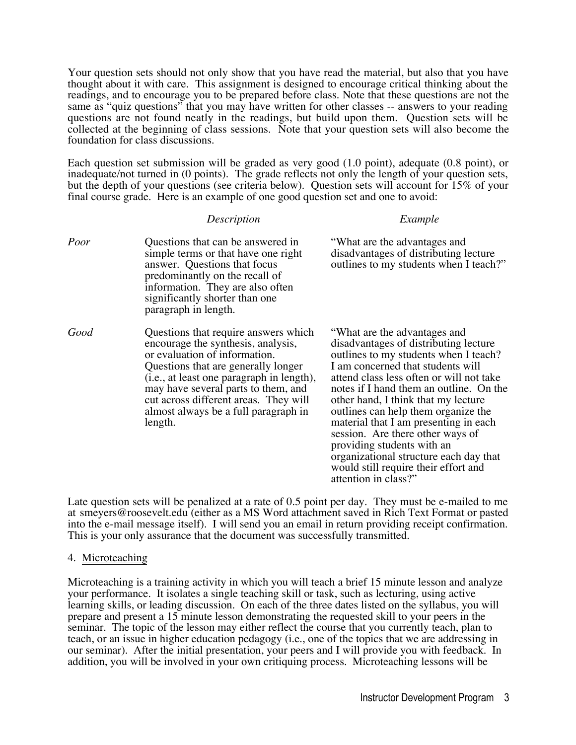Your question sets should not only show that you have read the material, but also that you have thought about it with care. This assignment is designed to encourage critical thinking about the readings, and to encourage you to be prepared before class. Note that these questions are not the same as "quiz questions" that you may have written for other classes -- answers to your reading questions are not found neatly in the readings, but build upon them. Question sets will be collected at the beginning of class sessions. Note that your question sets will also become the foundation for class discussions.

Each question set submission will be graded as very good (1.0 point), adequate (0.8 point), or inadequate/not turned in (0 points). The grade reflects not only the length of your question sets, but the depth of your questions (see criteria below). Question sets will account for 15% of your final course grade. Here is an example of one good question set and one to avoid:

|      | Description                                                                                                                                                                                                                                                                                                                        | Example                                                                                                                                                                                                                                                                                                                                                                                                                                                                                                                                       |
|------|------------------------------------------------------------------------------------------------------------------------------------------------------------------------------------------------------------------------------------------------------------------------------------------------------------------------------------|-----------------------------------------------------------------------------------------------------------------------------------------------------------------------------------------------------------------------------------------------------------------------------------------------------------------------------------------------------------------------------------------------------------------------------------------------------------------------------------------------------------------------------------------------|
| Poor | Questions that can be answered in<br>simple terms or that have one right<br>answer. Questions that focus<br>predominantly on the recall of<br>information. They are also often<br>significantly shorter than one<br>paragraph in length.                                                                                           | "What are the advantages and<br>disadvantages of distributing lecture<br>outlines to my students when I teach?"                                                                                                                                                                                                                                                                                                                                                                                                                               |
| Good | Questions that require answers which<br>encourage the synthesis, analysis,<br>or evaluation of information.<br>Questions that are generally longer<br>(i.e., at least one paragraph in length),<br>may have several parts to them, and<br>cut across different areas. They will<br>almost always be a full paragraph in<br>length. | "What are the advantages and<br>disadvantages of distributing lecture<br>outlines to my students when I teach?<br>I am concerned that students will<br>attend class less often or will not take<br>notes if I hand them an outline. On the<br>other hand, I think that my lecture<br>outlines can help them organize the<br>material that I am presenting in each<br>session. Are there other ways of<br>providing students with an<br>organizational structure each day that<br>would still require their effort and<br>attention in class?" |

Late question sets will be penalized at a rate of 0.5 point per day. They must be e-mailed to me at smeyers@roosevelt.edu (either as a MS Word attachment saved in Rich Text Format or pasted into the e-mail message itself). I will send you an email in return providing receipt confirmation. This is your only assurance that the document was successfully transmitted.

## 4. Microteaching

Microteaching is a training activity in which you will teach a brief 15 minute lesson and analyze your performance. It isolates a single teaching skill or task, such as lecturing, using active learning skills, or leading discussion. On each of the three dates listed on the syllabus, you will prepare and present a 15 minute lesson demonstrating the requested skill to your peers in the seminar. The topic of the lesson may either reflect the course that you currently teach, plan to teach, or an issue in higher education pedagogy (i.e., one of the topics that we are addressing in our seminar). After the initial presentation, your peers and I will provide you with feedback. In addition, you will be involved in your own critiquing process. Microteaching lessons will be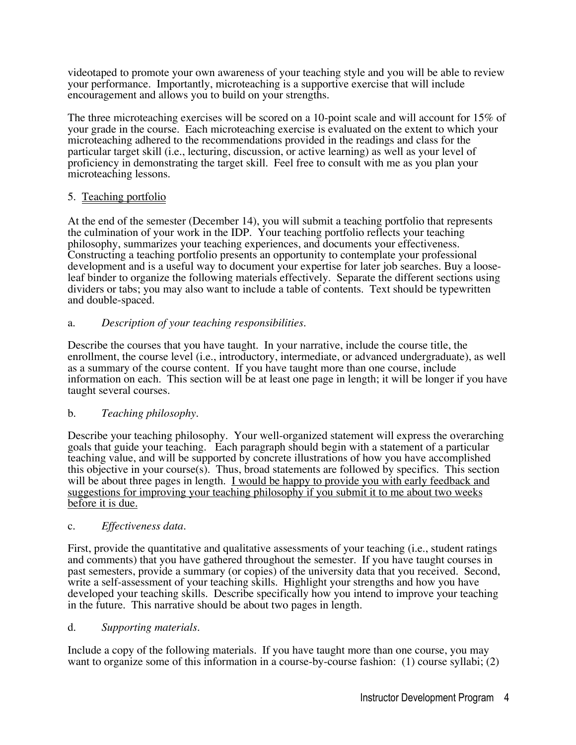videotaped to promote your own awareness of your teaching style and you will be able to review your performance. Importantly, microteaching is a supportive exercise that will include encouragement and allows you to build on your strengths.

The three microteaching exercises will be scored on a 10-point scale and will account for 15% of your grade in the course. Each microteaching exercise is evaluated on the extent to which your microteaching adhered to the recommendations provided in the readings and class for the particular target skill (i.e., lecturing, discussion, or active learning) as well as your level of proficiency in demonstrating the target skill. Feel free to consult with me as you plan your microteaching lessons.

## 5. Teaching portfolio

At the end of the semester (December 14), you will submit a teaching portfolio that represents the culmination of your work in the IDP. Your teaching portfolio reflects your teaching philosophy, summarizes your teaching experiences, and documents your effectiveness. Constructing a teaching portfolio presents an opportunity to contemplate your professional development and is a useful way to document your expertise for later job searches. Buy a looseleaf binder to organize the following materials effectively. Separate the different sections using dividers or tabs; you may also want to include a table of contents. Text should be typewritten and double-spaced.

## a. *Description of your teaching responsibilities.*

Describe the courses that you have taught. In your narrative, include the course title, the enrollment, the course level (i.e., introductory, intermediate, or advanced undergraduate), as well as a summary of the course content. If you have taught more than one course, include information on each. This section will be at least one page in length; it will be longer if you have taught several courses.

## b. *Teaching philosophy.*

Describe your teaching philosophy. Your well-organized statement will express the overarching goals that guide your teaching. Each paragraph should begin with a statement of a particular teaching value, and will be supported by concrete illustrations of how you have accomplished this objective in your course(s). Thus, broad statements are followed by specifics. This section will be about three pages in length. I would be happy to provide you with early feedback and suggestions for improving your teaching philosophy if you submit it to me about two weeks before it is due.

## c. *Effectiveness data.*

First, provide the quantitative and qualitative assessments of your teaching (i.e., student ratings and comments) that you have gathered throughout the semester. If you have taught courses in past semesters, provide a summary (or copies) of the university data that you received. Second, write a self-assessment of your teaching skills. Highlight your strengths and how you have developed your teaching skills. Describe specifically how you intend to improve your teaching in the future. This narrative should be about two pages in length.

## d. *Supporting materials.*

Include a copy of the following materials. If you have taught more than one course, you may want to organize some of this information in a course-by-course fashion: (1) course syllabi; (2)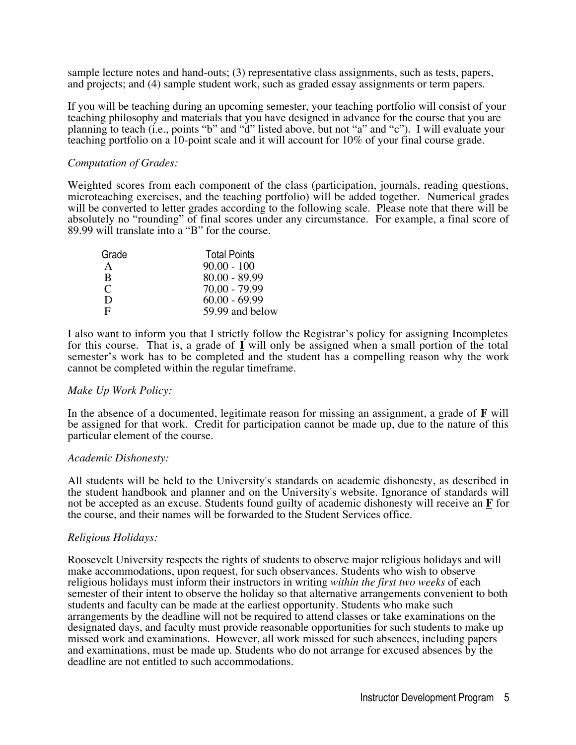sample lecture notes and hand-outs; (3) representative class assignments, such as tests, papers, and projects; and (4) sample student work, such as graded essay assignments or term papers.

If you will be teaching during an upcoming semester, your teaching portfolio will consist of your teaching philosophy and materials that you have designed in advance for the course that you are planning to teach (i.e., points "b" and "d" listed above, but not "a" and "c"). I will evaluate your teaching portfolio on a 10-point scale and it will account for 10% of your final course grade.

### *Computation of Grades:*

Weighted scores from each component of the class (participation, journals, reading questions, microteaching exercises, and the teaching portfolio) will be added together. Numerical grades will be converted to letter grades according to the following scale. Please note that there will be absolutely no "rounding" of final scores under any circumstance. For example, a final score of 89.99 will translate into a "B" for the course.

| Grade | <b>Total Points</b> |
|-------|---------------------|
| A     | $90.00 - 100$       |
| B     | $80.00 - 89.99$     |
| C     | $70.00 - 79.99$     |
| D     | $60.00 - 69.99$     |
| F     | 59.99 and below     |
|       |                     |

I also want to inform you that I strictly follow the Registrar's policy for assigning Incompletes for this course. That is, a grade of **I** will only be assigned when a small portion of the total semester's work has to be completed and the student has a compelling reason why the work cannot be completed within the regular timeframe.

### *Make Up Work Policy:*

In the absence of a documented, legitimate reason for missing an assignment, a grade of  $\mathbf{F}$  will be assigned for that work. Credit for participation cannot be made up, due to the nature of this particular element of the course.

### *Academic Dishonesty:*

All students will be held to the University's standards on academic dishonesty, as described in the student handbook and planner and on the University's website. Ignorance of standards will not be accepted as an excuse. Students found guilty of academic dishonesty will receive an **F** for the course, and their names will be forwarded to the Student Services office.

## *Religious Holidays:*

Roosevelt University respects the rights of students to observe major religious holidays and will make accommodations, upon request, for such observances. Students who wish to observe religious holidays must inform their instructors in writing *within the first two weeks* of each semester of their intent to observe the holiday so that alternative arrangements convenient to both students and faculty can be made at the earliest opportunity. Students who make such arrangements by the deadline will not be required to attend classes or take examinations on the designated days, and faculty must provide reasonable opportunities for such students to make up missed work and examinations. However, all work missed for such absences, including papers and examinations, must be made up. Students who do not arrange for excused absences by the deadline are not entitled to such accommodations.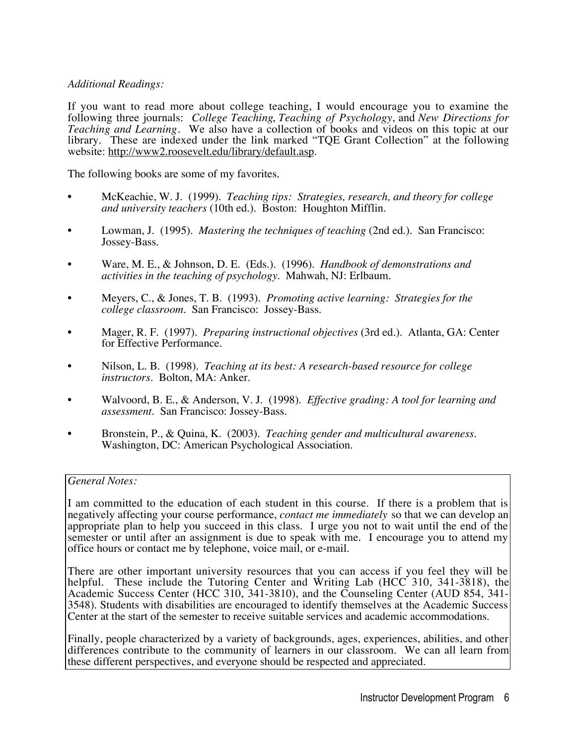## *Additional Readings:*

If you want to read more about college teaching, I would encourage you to examine the following three journals: *College Teaching*, *Teaching of Psychology*, and *New Directions for Teaching and Learning*. We also have a collection of books and videos on this topic at our library. These are indexed under the link marked "TQE Grant Collection" at the following website: http://www2.roosevelt.edu/library/default.asp.

The following books are some of my favorites.

- McKeachie, W. J. (1999). *Teaching tips: Strategies, research, and theory for college and university teachers* (10th ed.). Boston: Houghton Mifflin.
- Lowman, J. (1995). *Mastering the techniques of teaching* (2nd ed.). San Francisco: Jossey-Bass.
- Ware, M. E., & Johnson, D. E. (Eds.). (1996). *Handbook of demonstrations and activities in the teaching of psychology.* Mahwah, NJ: Erlbaum.
- Meyers, C., & Jones, T. B. (1993). *Promoting active learning: Strategies for the college classroom.* San Francisco: Jossey-Bass.
- Mager, R. F. (1997). *Preparing instructional objectives* (3rd ed.). Atlanta, GA: Center for Effective Performance.
- Nilson, L. B. (1998). *Teaching at its best: A research-based resource for college instructors.* Bolton, MA: Anker.
- Walvoord, B. E., & Anderson, V. J. (1998). *Effective grading: A tool for learning and assessment.* San Francisco: Jossey-Bass.
- Bronstein, P., & Quina, K. (2003). *Teaching gender and multicultural awareness.* Washington, DC: American Psychological Association.

## *General Notes:*

I am committed to the education of each student in this course. If there is a problem that is negatively affecting your course performance, *contact me immediately* so that we can develop an appropriate plan to help you succeed in this class. I urge you not to wait until the end of the semester or until after an assignment is due to speak with me. I encourage you to attend my office hours or contact me by telephone, voice mail, or e-mail.

There are other important university resources that you can access if you feel they will be helpful. These include the Tutoring Center and Writing Lab (HCC 310, 341-3818), the Academic Success Center (HCC 310, 341-3810), and the Counseling Center (AUD 854, 341- 3548). Students with disabilities are encouraged to identify themselves at the Academic Success Center at the start of the semester to receive suitable services and academic accommodations.

Finally, people characterized by a variety of backgrounds, ages, experiences, abilities, and other differences contribute to the community of learners in our classroom. We can all learn from these different perspectives, and everyone should be respected and appreciated.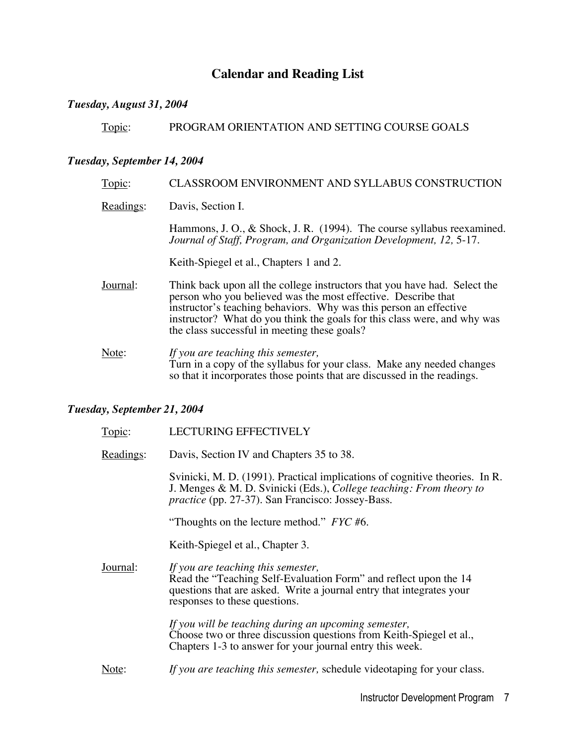# **Calendar and Reading List**

## *Tuesday, August 31, 2004*

Topic: PROGRAM ORIENTATION AND SETTING COURSE GOALS

## *Tuesday, September 14, 2004*

| Topic:    | CLASSROOM ENVIRONMENT AND SYLLABUS CONSTRUCTION                                                                                                                                                                                                                                                                                             |
|-----------|---------------------------------------------------------------------------------------------------------------------------------------------------------------------------------------------------------------------------------------------------------------------------------------------------------------------------------------------|
| Readings: | Davis, Section I.                                                                                                                                                                                                                                                                                                                           |
|           | Hammons, J. O., & Shock, J. R. $(1994)$ . The course syllabus reexamined.<br>Journal of Staff, Program, and Organization Development, 12, 5-17.                                                                                                                                                                                             |
|           | Keith-Spiegel et al., Chapters 1 and 2.                                                                                                                                                                                                                                                                                                     |
| Journal:  | Think back upon all the college instructors that you have had. Select the<br>person who you believed was the most effective. Describe that<br>instructor's teaching behaviors. Why was this person an effective<br>instructor? What do you think the goals for this class were, and why was<br>the class successful in meeting these goals? |
| Note:     | If you are teaching this semester,<br>Turn in a copy of the syllabus for your class. Make any needed changes<br>so that it incorporates those points that are discussed in the readings.                                                                                                                                                    |

## *Tuesday, September 21, 2004*

| Topic:    | <b>LECTURING EFFECTIVELY</b>                                                                                                                                                                                    |
|-----------|-----------------------------------------------------------------------------------------------------------------------------------------------------------------------------------------------------------------|
| Readings: | Davis, Section IV and Chapters 35 to 38.                                                                                                                                                                        |
|           | Svinicki, M. D. (1991). Practical implications of cognitive theories. In R.<br>J. Menges & M. D. Svinicki (Eds.), College teaching: From theory to<br><i>practice</i> (pp. 27-37). San Francisco: Jossey-Bass.  |
|           | "Thoughts on the lecture method." $\textit{FYC}\#6$ .                                                                                                                                                           |
|           | Keith-Spiegel et al., Chapter 3.                                                                                                                                                                                |
| Journal:  | If you are teaching this semester,<br>Read the "Teaching Self-Evaluation Form" and reflect upon the 14<br>questions that are asked. Write a journal entry that integrates your<br>responses to these questions. |
|           | If you will be teaching during an upcoming semester,<br>Choose two or three discussion questions from Keith-Spiegel et al.,<br>Chapters 1-3 to answer for your journal entry this week.                         |
| Note:     | If you are teaching this semester, schedule videotaping for your class.                                                                                                                                         |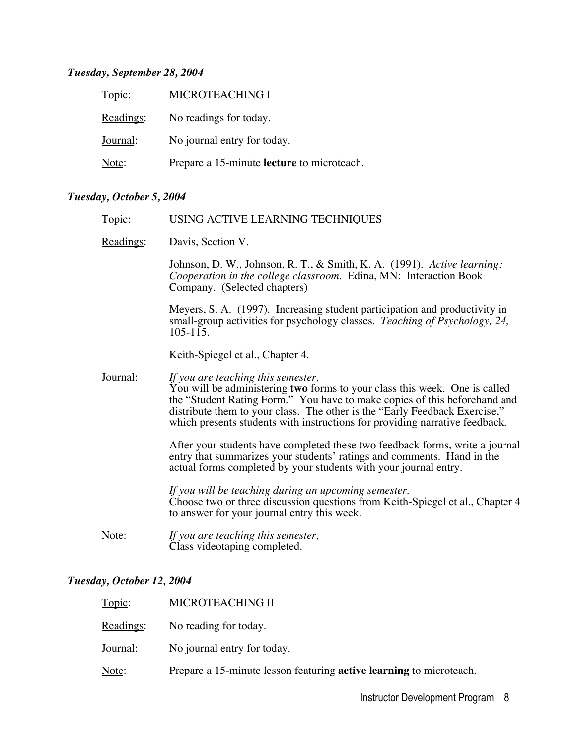## *Tuesday, September 28, 2004*

| Topic:    | MICROTEACHING I                            |
|-----------|--------------------------------------------|
| Readings: | No readings for today.                     |
| Journal:  | No journal entry for today.                |
| Note:     | Prepare a 15-minute lecture to microteach. |

## *Tuesday, October 5, 2004*

| Topic:    | USING ACTIVE LEARNING TECHNIQUES                                                                                                                                                                                                                                                                                                                           |
|-----------|------------------------------------------------------------------------------------------------------------------------------------------------------------------------------------------------------------------------------------------------------------------------------------------------------------------------------------------------------------|
| Readings: | Davis, Section V.                                                                                                                                                                                                                                                                                                                                          |
|           | Johnson, D. W., Johnson, R. T., & Smith, K. A. (1991). Active learning:<br>Cooperation in the college classroom. Edina, MN: Interaction Book<br>Company. (Selected chapters)                                                                                                                                                                               |
|           | Meyers, S. A. (1997). Increasing student participation and productivity in<br>small-group activities for psychology classes. Teaching of Psychology, 24,<br>$105 - 115$ .                                                                                                                                                                                  |
|           | Keith-Spiegel et al., Chapter 4.                                                                                                                                                                                                                                                                                                                           |
| Journal:  | If you are teaching this semester,<br>You will be administering two forms to your class this week. One is called<br>the "Student Rating Form." You have to make copies of this beforehand and<br>distribute them to your class. The other is the "Early Feedback Exercise,"<br>which presents students with instructions for providing narrative feedback. |
|           | After your students have completed these two feedback forms, write a journal<br>entry that summarizes your students' ratings and comments. Hand in the<br>actual forms completed by your students with your journal entry.                                                                                                                                 |
|           | If you will be teaching during an upcoming semester,<br>Choose two or three discussion questions from Keith-Spiegel et al., Chapter 4<br>to answer for your journal entry this week.                                                                                                                                                                       |
| Note:     | If you are teaching this semester,<br>Class videotaping completed.                                                                                                                                                                                                                                                                                         |
|           |                                                                                                                                                                                                                                                                                                                                                            |

# *Tuesday, October 12, 2004*

| Topic:    | MICROTEACHING II                                                           |
|-----------|----------------------------------------------------------------------------|
| Readings: | No reading for today.                                                      |
| Journal:  | No journal entry for today.                                                |
| Note:     | Prepare a 15-minute lesson featuring <b>active learning</b> to microteach. |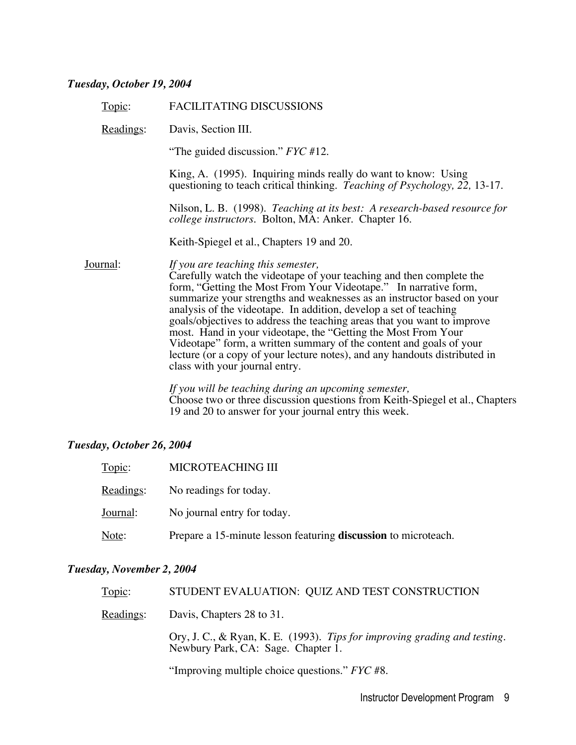## *Tuesday, October 19, 2004*

| Topic:    | FACILITATING DISCUSSIONS                                                                                                                                                                                                                                                                                                                                                                                                                                                                                                                                                                                                                                         |
|-----------|------------------------------------------------------------------------------------------------------------------------------------------------------------------------------------------------------------------------------------------------------------------------------------------------------------------------------------------------------------------------------------------------------------------------------------------------------------------------------------------------------------------------------------------------------------------------------------------------------------------------------------------------------------------|
| Readings: | Davis, Section III.                                                                                                                                                                                                                                                                                                                                                                                                                                                                                                                                                                                                                                              |
|           | "The guided discussion." $Fyc \#12$ .                                                                                                                                                                                                                                                                                                                                                                                                                                                                                                                                                                                                                            |
|           | King, A. (1995). Inquiring minds really do want to know: Using<br>questioning to teach critical thinking. Teaching of Psychology, 22, 13-17.                                                                                                                                                                                                                                                                                                                                                                                                                                                                                                                     |
|           | Nilson, L. B. (1998). Teaching at its best: A research-based resource for<br><i>college instructors.</i> Bolton, MA: Anker. Chapter 16.                                                                                                                                                                                                                                                                                                                                                                                                                                                                                                                          |
|           | Keith-Spiegel et al., Chapters 19 and 20.                                                                                                                                                                                                                                                                                                                                                                                                                                                                                                                                                                                                                        |
| Journal:  | If you are teaching this semester,<br>Carefully watch the videotape of your teaching and then complete the<br>form, "Getting the Most From Your Videotape." In narrative form,<br>summarize your strengths and weaknesses as an instructor based on your<br>analysis of the videotape. In addition, develop a set of teaching<br>goals/objectives to address the teaching areas that you want to improve<br>most. Hand in your videotape, the "Getting the Most From Your<br>Videotape" form, a written summary of the content and goals of your<br>lecture (or a copy of your lecture notes), and any handouts distributed in<br>class with your journal entry. |
|           | If you will be teaching during an upcoming semester,<br>Choose two or three discussion questions from $\bm{V}$ aith $\bm{\zeta}$ and at al. Chenter                                                                                                                                                                                                                                                                                                                                                                                                                                                                                                              |

Choose two or three discussion questions from Keith-Spiegel et al., Chapters 19 and 20 to answer for your journal entry this week.

## *Tuesday, October 26, 2004*

| Topic:    | MICROTEACHING III                                              |
|-----------|----------------------------------------------------------------|
| Readings: | No readings for today.                                         |
| Journal:  | No journal entry for today.                                    |
| Note:     | Prepare a 15-minute lesson featuring discussion to microteach. |

### *Tuesday, November 2, 2004*

| Topic:    | STUDENT EVALUATION: QUIZ AND TEST CONSTRUCTION                                                                                                                                                                                                                                                                                                              |
|-----------|-------------------------------------------------------------------------------------------------------------------------------------------------------------------------------------------------------------------------------------------------------------------------------------------------------------------------------------------------------------|
| Readings: | Davis, Chapters 28 to 31.                                                                                                                                                                                                                                                                                                                                   |
|           | Ory, J. C., & Ryan, K. E. (1993). Tips for improving grading and testing.<br>Newbury Park, CA: Sage. Chapter 1.                                                                                                                                                                                                                                             |
|           | $\mathcal{L}$ $\mathcal{L}$ $\mathcal{L}$ $\mathcal{L}$ $\mathcal{L}$ $\mathcal{L}$ $\mathcal{L}$ $\mathcal{L}$ $\mathcal{L}$ $\mathcal{L}$ $\mathcal{L}$ $\mathcal{L}$ $\mathcal{L}$ $\mathcal{L}$ $\mathcal{L}$ $\mathcal{L}$ $\mathcal{L}$ $\mathcal{L}$ $\mathcal{L}$ $\mathcal{L}$ $\mathcal{L}$ $\mathcal{L}$ $\mathcal{L}$ $\mathcal{L}$ $\mathcal{$ |

"Improving multiple choice questions." *FYC* #8.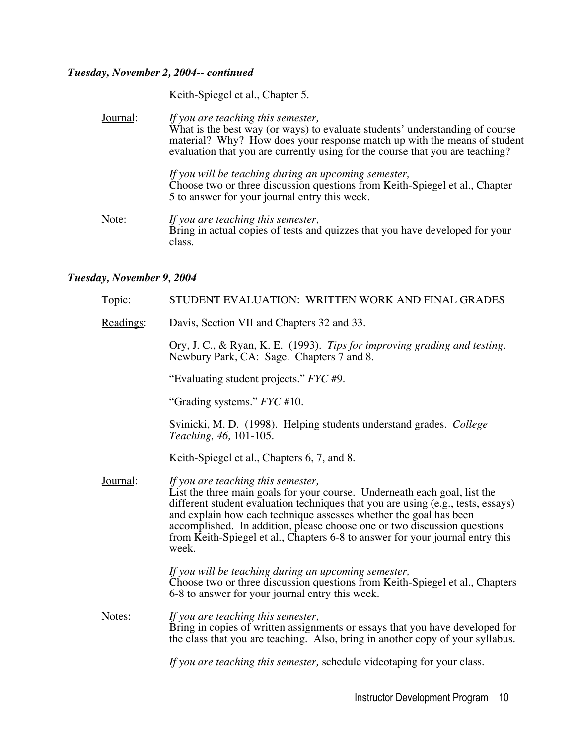### *Tuesday, November 2, 2004-- continued*

Keith-Spiegel et al., Chapter 5.

Journal: *If you are teaching this semester,* What is the best way (or ways) to evaluate students' understanding of course material? Why? How does your response match up with the means of student evaluation that you are currently using for the course that you are teaching? *If you will be teaching during an upcoming semester,* Choose two or three discussion questions from Keith-Spiegel et al., Chapter 5 to answer for your journal entry this week. Note: *If you are teaching this semester,* Bring in actual copies of tests and quizzes that you have developed for your class.

#### *Tuesday, November 9, 2004*

| Topic:    | STUDENT EVALUATION: WRITTEN WORK AND FINAL GRADES                                                                                                                                                                                                                                                                                                                                                                                              |
|-----------|------------------------------------------------------------------------------------------------------------------------------------------------------------------------------------------------------------------------------------------------------------------------------------------------------------------------------------------------------------------------------------------------------------------------------------------------|
| Readings: | Davis, Section VII and Chapters 32 and 33.                                                                                                                                                                                                                                                                                                                                                                                                     |
|           | Ory, J. C., & Ryan, K. E. (1993). Tips for improving grading and testing.<br>Newbury Park, CA: Sage. Chapters 7 and 8.                                                                                                                                                                                                                                                                                                                         |
|           | "Evaluating student projects." FYC #9.                                                                                                                                                                                                                                                                                                                                                                                                         |
|           | "Grading systems." FYC #10.                                                                                                                                                                                                                                                                                                                                                                                                                    |
|           | Svinicki, M. D. (1998). Helping students understand grades. College<br><i>Teaching</i> , 46, 101-105.                                                                                                                                                                                                                                                                                                                                          |
|           | Keith-Spiegel et al., Chapters 6, 7, and 8.                                                                                                                                                                                                                                                                                                                                                                                                    |
| Journal:  | If you are teaching this semester,<br>List the three main goals for your course. Underneath each goal, list the<br>different student evaluation techniques that you are using (e.g., tests, essays)<br>and explain how each technique assesses whether the goal has been<br>accomplished. In addition, please choose one or two discussion questions<br>from Keith-Spiegel et al., Chapters 6-8 to answer for your journal entry this<br>week. |
|           | If you will be teaching during an upcoming semester,<br>Choose two or three discussion questions from Keith-Spiegel et al., Chapters<br>6-8 to answer for your journal entry this week.                                                                                                                                                                                                                                                        |
| Notes:    | If you are teaching this semester,<br>Bring in copies of written assignments or essays that you have developed for<br>the class that you are teaching. Also, bring in another copy of your syllabus.                                                                                                                                                                                                                                           |
|           | If you are teaching this semester, schedule videotaping for your class.                                                                                                                                                                                                                                                                                                                                                                        |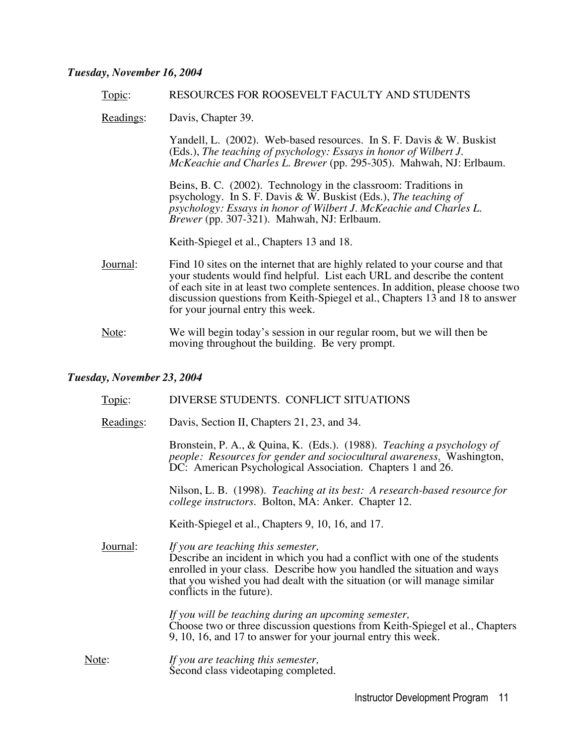#### *Tuesday, November 16, 2004*

#### Topic: RESOURCES FOR ROOSEVELT FACULTY AND STUDENTS

Readings: Davis, Chapter 39.

Yandell, L. (2002). Web-based resources. In S. F. Davis & W. Buskist (Eds.), *The teaching of psychology: Essays in honor of Wilbert J. McKeachie and Charles L. Brewer* (pp. 295-305). Mahwah, NJ: Erlbaum.

Beins, B. C. (2002). Technology in the classroom: Traditions in psychology. In S. F. Davis & W. Buskist (Eds.), *The teaching of psychology: Essays in honor of Wilbert J. McKeachie and Charles L. Brewer* (pp. 307-321). Mahwah, NJ: Erlbaum.

Keith-Spiegel et al., Chapters 13 and 18.

- Journal: Find 10 sites on the internet that are highly related to your course and that your students would find helpful. List each URL and describe the content of each site in at least two complete sentences. In addition, please choose two discussion questions from Keith-Spiegel et al., Chapters 13 and 18 to answer for your journal entry this week.
- Note: We will begin today's session in our regular room, but we will then be moving throughout the building. Be very prompt.

#### *Tuesday, November 23, 2004*

|       | Topic:    | DIVERSE STUDENTS. CONFLICT SITUATIONS                                                                                                                                                                                                                                                               |
|-------|-----------|-----------------------------------------------------------------------------------------------------------------------------------------------------------------------------------------------------------------------------------------------------------------------------------------------------|
|       | Readings: | Davis, Section II, Chapters 21, 23, and 34.                                                                                                                                                                                                                                                         |
|       |           | Bronstein, P. A., & Quina, K. (Eds.). (1988). Teaching a psychology of<br>people: Resources for gender and sociocultural awareness. Washington,<br>DC: American Psychological Association. Chapters 1 and 26.                                                                                       |
|       |           | Nilson, L. B. (1998). Teaching at its best: A research-based resource for<br><i>college instructors.</i> Bolton, MA: Anker. Chapter 12.                                                                                                                                                             |
|       |           | Keith-Spiegel et al., Chapters 9, 10, 16, and 17.                                                                                                                                                                                                                                                   |
|       | Journal:  | If you are teaching this semester,<br>Describe an incident in which you had a conflict with one of the students<br>enrolled in your class. Describe how you handled the situation and ways<br>that you wished you had dealt with the situation (or will manage similar<br>conflicts in the future). |
|       |           | If you will be teaching during an upcoming semester,<br>Choose two or three discussion questions from Keith-Spiegel et al., Chapters<br>9, 10, 16, and 17 to answer for your journal entry this week.                                                                                               |
| Note: |           | If you are teaching this semester,<br>Second class videotaping completed.                                                                                                                                                                                                                           |